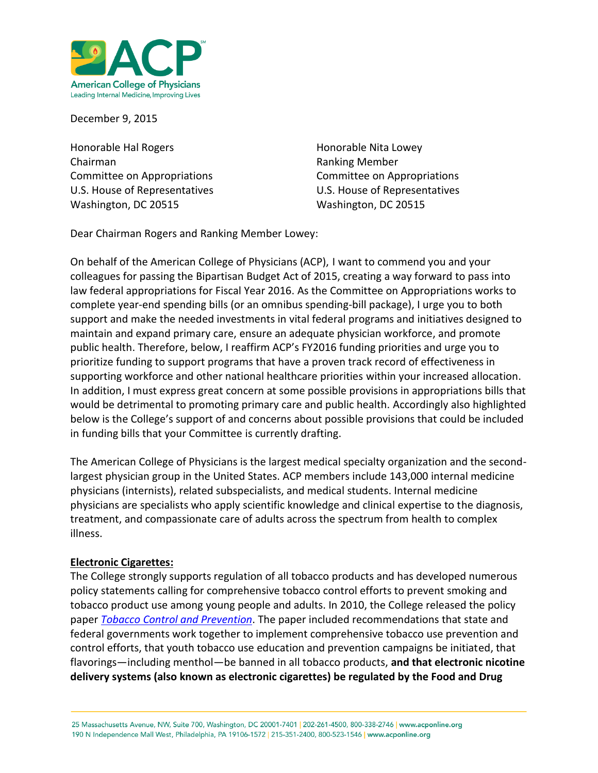

December 9, 2015

Honorable Hal Rogers **Honorable Nita Lowey Honorable Nita Lowey** Chairman **Ranking Member** Ranking Member Committee on Appropriations Committee on Appropriations U.S. House of Representatives U.S. House of Representatives Washington, DC 20515 Washington, DC 20515

Dear Chairman Rogers and Ranking Member Lowey:

On behalf of the American College of Physicians (ACP), I want to commend you and your colleagues for passing the Bipartisan Budget Act of 2015, creating a way forward to pass into law federal appropriations for Fiscal Year 2016. As the Committee on Appropriations works to complete year-end spending bills (or an omnibus spending-bill package), I urge you to both support and make the needed investments in vital federal programs and initiatives designed to maintain and expand primary care, ensure an adequate physician workforce, and promote public health. Therefore, below, I reaffirm ACP's FY2016 funding priorities and urge you to prioritize funding to support programs that have a proven track record of effectiveness in supporting workforce and other national healthcare priorities within your increased allocation. In addition, I must express great concern at some possible provisions in appropriations bills that would be detrimental to promoting primary care and public health. Accordingly also highlighted below is the College's support of and concerns about possible provisions that could be included in funding bills that your Committee is currently drafting.

The American College of Physicians is the largest medical specialty organization and the secondlargest physician group in the United States. ACP members include 143,000 internal medicine physicians (internists), related subspecialists, and medical students. Internal medicine physicians are specialists who apply scientific knowledge and clinical expertise to the diagnosis, treatment, and compassionate care of adults across the spectrum from health to complex illness.

#### **Electronic Cigarettes:**

The College strongly supports regulation of all tobacco products and has developed numerous policy statements calling for comprehensive tobacco control efforts to prevent smoking and tobacco product use among young people and adults. In 2010, the College released the policy paper *[Tobacco Control and Prevention](https://www.acponline.org/acp_policy/policies/control_tobacco_prevention_2010.pdf)*. The paper included recommendations that state and federal governments work together to implement comprehensive tobacco use prevention and control efforts, that youth tobacco use education and prevention campaigns be initiated, that flavorings—including menthol—be banned in all tobacco products, **and that electronic nicotine delivery systems (also known as electronic cigarettes) be regulated by the Food and Drug** 

25 Massachusetts Avenue, NW, Suite 700, Washington, DC 20001-7401 | 202-261-4500, 800-338-2746 | www.acponline.org 190 N Independence Mall West, Philadelphia, PA 19106-1572 | 215-351-2400, 800-523-1546 | www.acponline.org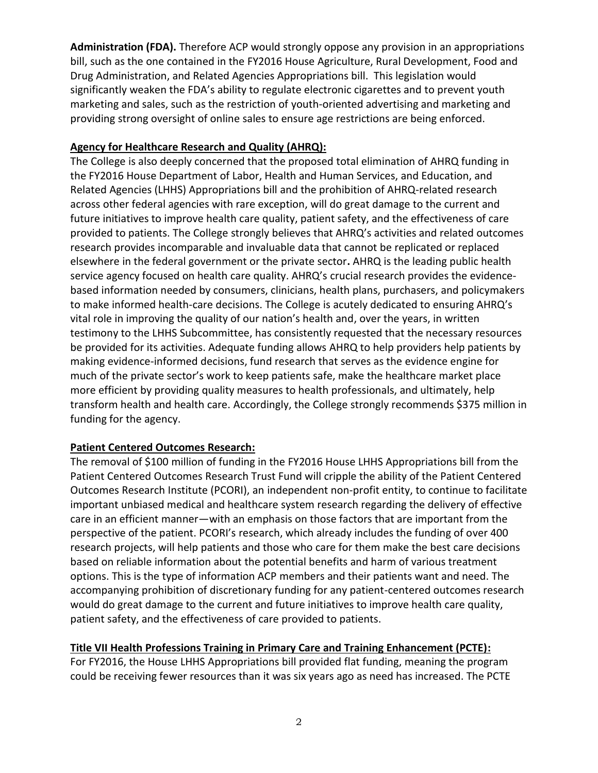**Administration (FDA).** Therefore ACP would strongly oppose any provision in an appropriations bill, such as the one contained in the FY2016 House Agriculture, Rural Development, Food and Drug Administration, and Related Agencies Appropriations bill. This legislation would significantly weaken the FDA's ability to regulate electronic cigarettes and to prevent youth marketing and sales, such as the restriction of youth-oriented advertising and marketing and providing strong oversight of online sales to ensure age restrictions are being enforced.

# **Agency for Healthcare Research and Quality (AHRQ):**

The College is also deeply concerned that the proposed total elimination of AHRQ funding in the FY2016 House Department of Labor, Health and Human Services, and Education, and Related Agencies (LHHS) Appropriations bill and the prohibition of AHRQ-related research across other federal agencies with rare exception, will do great damage to the current and future initiatives to improve health care quality, patient safety, and the effectiveness of care provided to patients. The College strongly believes that AHRQ's activities and related outcomes research provides incomparable and invaluable data that cannot be replicated or replaced elsewhere in the federal government or the private sector**.** AHRQ is the leading public health service agency focused on health care quality. AHRQ's crucial research provides the evidencebased information needed by consumers, clinicians, health plans, purchasers, and policymakers to make informed health-care decisions. The College is acutely dedicated to ensuring AHRQ's vital role in improving the quality of our nation's health and, over the years, in written testimony to the LHHS Subcommittee, has consistently requested that the necessary resources be provided for its activities. Adequate funding allows AHRQ to help providers help patients by making evidence-informed decisions, fund research that serves as the evidence engine for much of the private sector's work to keep patients safe, make the healthcare market place more efficient by providing quality measures to health professionals, and ultimately, help transform health and health care. Accordingly, the College strongly recommends \$375 million in funding for the agency.

### **Patient Centered Outcomes Research:**

The removal of \$100 million of funding in the FY2016 House LHHS Appropriations bill from the Patient Centered Outcomes Research Trust Fund will cripple the ability of the Patient Centered Outcomes Research Institute (PCORI), an independent non-profit entity, to continue to facilitate important unbiased medical and healthcare system research regarding the delivery of effective care in an efficient manner—with an emphasis on those factors that are important from the perspective of the patient. PCORI's research, which already includes the funding of over 400 research projects, will help patients and those who care for them make the best care decisions based on reliable information about the potential benefits and harm of various treatment options. This is the type of information ACP members and their patients want and need. The accompanying prohibition of discretionary funding for any patient-centered outcomes research would do great damage to the current and future initiatives to improve health care quality, patient safety, and the effectiveness of care provided to patients.

### **Title VII Health Professions Training in Primary Care and Training Enhancement (PCTE):**

For FY2016, the House LHHS Appropriations bill provided flat funding, meaning the program could be receiving fewer resources than it was six years ago as need has increased. The PCTE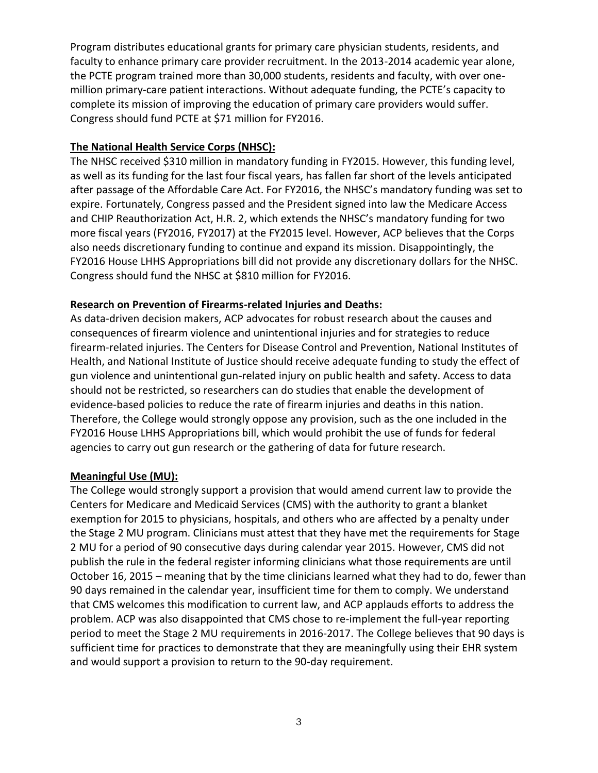Program distributes educational grants for primary care physician students, residents, and faculty to enhance primary care provider recruitment. In the 2013-2014 academic year alone, the PCTE program trained more than 30,000 students, residents and faculty, with over onemillion primary-care patient interactions. Without adequate funding, the PCTE's capacity to complete its mission of improving the education of primary care providers would suffer. Congress should fund PCTE at \$71 million for FY2016.

# **The National Health Service Corps (NHSC):**

The NHSC received \$310 million in mandatory funding in FY2015. However, this funding level, as well as its funding for the last four fiscal years, has fallen far short of the levels anticipated after passage of the Affordable Care Act. For FY2016, the NHSC's mandatory funding was set to expire. Fortunately, Congress passed and the President signed into law the Medicare Access and CHIP Reauthorization Act, H.R. 2, which extends the NHSC's mandatory funding for two more fiscal years (FY2016, FY2017) at the FY2015 level. However, ACP believes that the Corps also needs discretionary funding to continue and expand its mission. Disappointingly, the FY2016 House LHHS Appropriations bill did not provide any discretionary dollars for the NHSC. Congress should fund the NHSC at \$810 million for FY2016.

### **Research on Prevention of Firearms-related Injuries and Deaths:**

As data-driven decision makers, ACP advocates for robust research about the causes and consequences of firearm violence and unintentional injuries and for strategies to reduce firearm-related injuries. The Centers for Disease Control and Prevention, National Institutes of Health, and National Institute of Justice should receive adequate funding to study the effect of gun violence and unintentional gun-related injury on public health and safety. Access to data should not be restricted, so researchers can do studies that enable the development of evidence-based policies to reduce the rate of firearm injuries and deaths in this nation. Therefore, the College would strongly oppose any provision, such as the one included in the FY2016 House LHHS Appropriations bill, which would prohibit the use of funds for federal agencies to carry out gun research or the gathering of data for future research.

### **Meaningful Use (MU):**

The College would strongly support a provision that would amend current law to provide the Centers for Medicare and Medicaid Services (CMS) with the authority to grant a blanket exemption for 2015 to physicians, hospitals, and others who are affected by a penalty under the Stage 2 MU program. Clinicians must attest that they have met the requirements for Stage 2 MU for a period of 90 consecutive days during calendar year 2015. However, CMS did not publish the rule in the federal register informing clinicians what those requirements are until October 16, 2015 – meaning that by the time clinicians learned what they had to do, fewer than 90 days remained in the calendar year, insufficient time for them to comply. We understand that CMS welcomes this modification to current law, and ACP applauds efforts to address the problem. ACP was also disappointed that CMS chose to re-implement the full-year reporting period to meet the Stage 2 MU requirements in 2016-2017. The College believes that 90 days is sufficient time for practices to demonstrate that they are meaningfully using their EHR system and would support a provision to return to the 90-day requirement.